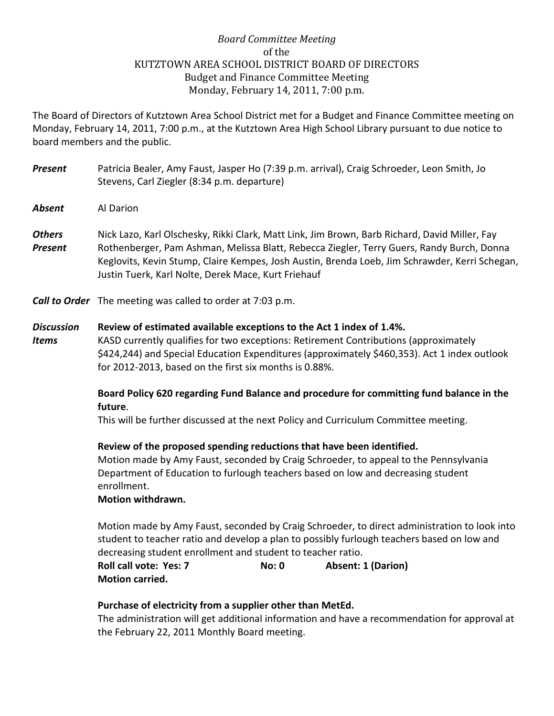# *Board Committee Meeting* of the KUTZTOWN AREA SCHOOL DISTRICT BOARD OF DIRECTORS Budget and Finance Committee Meeting Monday, February 14, 2011, 7:00 p.m.

The Board of Directors of Kutztown Area School District met for a Budget and Finance Committee meeting on Monday, February 14, 2011, 7:00 p.m., at the Kutztown Area High School Library pursuant to due notice to board members and the public.

- *Present* Patricia Bealer, Amy Faust, Jasper Ho (7:39 p.m. arrival), Craig Schroeder, Leon Smith, Jo Stevens, Carl Ziegler (8:34 p.m. departure)
- *Absent* Al Darion
- *Others* Nick Lazo, Karl Olschesky, Rikki Clark, Matt Link, Jim Brown, Barb Richard, David Miller, Fay *Present* Rothenberger, Pam Ashman, Melissa Blatt, Rebecca Ziegler, Terry Guers, Randy Burch, Donna Keglovits, Kevin Stump, Claire Kempes, Josh Austin, Brenda Loeb, Jim Schrawder, Kerri Schegan, Justin Tuerk, Karl Nolte, Derek Mace, Kurt Friehauf

*Call to Order* The meeting was called to order at 7:03 p.m.

### *Discussion* **Review of estimated available exceptions to the Act 1 index of 1.4%.**

*Items* KASD currently qualifies for two exceptions: Retirement Contributions (approximately \$424,244) and Special Education Expenditures (approximately \$460,353). Act 1 index outlook for 2012-2013, based on the first six months is 0.88%.

## **Board Policy 620 regarding Fund Balance and procedure for committing fund balance in the future**.

This will be further discussed at the next Policy and Curriculum Committee meeting.

#### **Review of the proposed spending reductions that have been identified.**

Motion made by Amy Faust, seconded by Craig Schroeder, to appeal to the Pennsylvania Department of Education to furlough teachers based on low and decreasing student enrollment.

#### **Motion withdrawn.**

Motion made by Amy Faust, seconded by Craig Schroeder, to direct administration to look into student to teacher ratio and develop a plan to possibly furlough teachers based on low and decreasing student enrollment and student to teacher ratio.

## **Roll call vote: Yes: 7 No: 0 Absent: 1 (Darion) Motion carried.**

## **Purchase of electricity from a supplier other than MetEd.**

The administration will get additional information and have a recommendation for approval at the February 22, 2011 Monthly Board meeting.